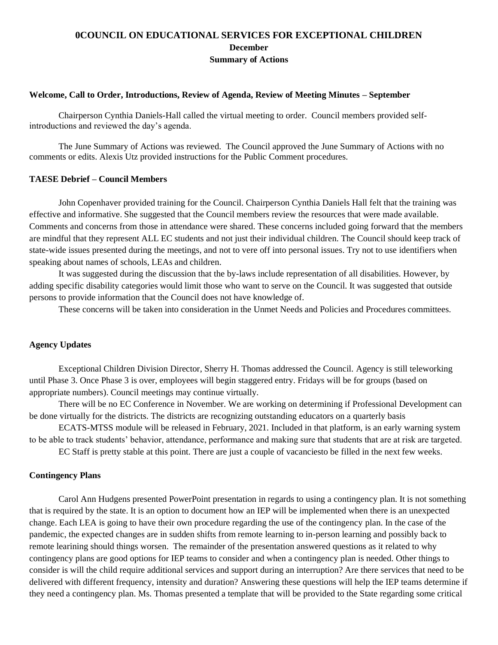# **0COUNCIL ON EDUCATIONAL SERVICES FOR EXCEPTIONAL CHILDREN December Summary of Actions**

## **Welcome, Call to Order, Introductions, Review of Agenda, Review of Meeting Minutes – September**

Chairperson Cynthia Daniels-Hall called the virtual meeting to order. Council members provided selfintroductions and reviewed the day's agenda.

The June Summary of Actions was reviewed. The Council approved the June Summary of Actions with no comments or edits. Alexis Utz provided instructions for the Public Comment procedures.

### **TAESE Debrief – Council Members**

John Copenhaver provided training for the Council. Chairperson Cynthia Daniels Hall felt that the training was effective and informative. She suggested that the Council members review the resources that were made available. Comments and concerns from those in attendance were shared. These concerns included going forward that the members are mindful that they represent ALL EC students and not just their individual children. The Council should keep track of state-wide issues presented during the meetings, and not to vere off into personal issues. Try not to use identifiers when speaking about names of schools, LEAs and children.

It was suggested during the discussion that the by-laws include representation of all disabilities. However, by adding specific disability categories would limit those who want to serve on the Council. It was suggested that outside persons to provide information that the Council does not have knowledge of.

These concerns will be taken into consideration in the Unmet Needs and Policies and Procedures committees.

### **Agency Updates**

Exceptional Children Division Director, Sherry H. Thomas addressed the Council. Agency is still teleworking until Phase 3. Once Phase 3 is over, employees will begin staggered entry. Fridays will be for groups (based on appropriate numbers). Council meetings may continue virtually.

There will be no EC Conference in November. We are working on determining if Professional Development can be done virtually for the districts. The districts are recognizing outstanding educators on a quarterly basis

ECATS-MTSS module will be released in February, 2021. Included in that platform, is an early warning system to be able to track students' behavior, attendance, performance and making sure that students that are at risk are targeted.

EC Staff is pretty stable at this point. There are just a couple of vacanciesto be filled in the next few weeks.

#### **Contingency Plans**

Carol Ann Hudgens presented PowerPoint presentation in regards to using a contingency plan. It is not something that is required by the state. It is an option to document how an IEP will be implemented when there is an unexpected change. Each LEA is going to have their own procedure regarding the use of the contingency plan. In the case of the pandemic, the expected changes are in sudden shifts from remote learning to in-person learning and possibly back to remote learining should things worsen. The remainder of the presentation answered questions as it related to why contingency plans are good options for IEP teams to consider and when a contingency plan is needed. Other things to consider is will the child require additional services and support during an interruption? Are there services that need to be delivered with different frequency, intensity and duration? Answering these questions will help the IEP teams determine if they need a contingency plan. Ms. Thomas presented a template that will be provided to the State regarding some critical